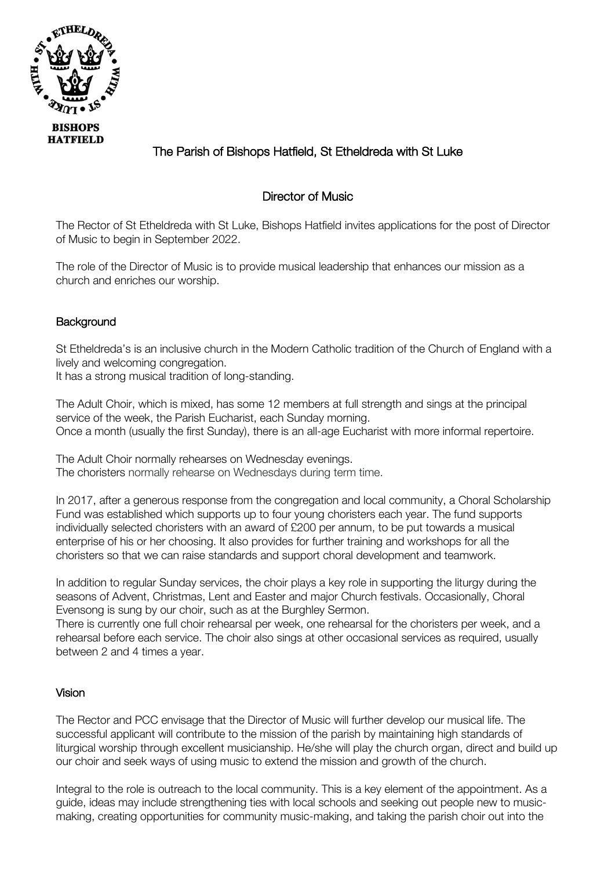

# The Parish of Bishops Hatfield, St Etheldreda with St Luke

# Director of Music

The Rector of St Etheldreda with St Luke, Bishops Hatfield invites applications for the post of Director of Music to begin in September 2022.

The role of the Director of Music is to provide musical leadership that enhances our mission as a church and enriches our worship.

# **Background**

St Etheldreda's is an inclusive church in the Modern Catholic tradition of the Church of England with a lively and welcoming congregation.

It has a strong musical tradition of long-standing.

The Adult Choir, which is mixed, has some 12 members at full strength and sings at the principal service of the week, the Parish Eucharist, each Sunday morning. Once a month (usually the first Sunday), there is an all-age Eucharist with more informal repertoire.

The Adult Choir normally rehearses on Wednesday evenings. The choristers normally rehearse on Wednesdays during term time.

In 2017, after a generous response from the congregation and local community, a Choral Scholarship Fund was established which supports up to four young choristers each year. The fund supports individually selected choristers with an award of £200 per annum, to be put towards a musical enterprise of his or her choosing. It also provides for further training and workshops for all the choristers so that we can raise standards and support choral development and teamwork.

In addition to regular Sunday services, the choir plays a key role in supporting the liturgy during the seasons of Advent, Christmas, Lent and Easter and major Church festivals. Occasionally, Choral Evensong is sung by our choir, such as at the Burghley Sermon.

There is currently one full choir rehearsal per week, one rehearsal for the choristers per week, and a rehearsal before each service. The choir also sings at other occasional services as required, usually between 2 and 4 times a year.

### Vision

The Rector and PCC envisage that the Director of Music will further develop our musical life. The successful applicant will contribute to the mission of the parish by maintaining high standards of liturgical worship through excellent musicianship. He/she will play the church organ, direct and build up our choir and seek ways of using music to extend the mission and growth of the church.

Integral to the role is outreach to the local community. This is a key element of the appointment. As a guide, ideas may include strengthening ties with local schools and seeking out people new to musicmaking, creating opportunities for community music-making, and taking the parish choir out into the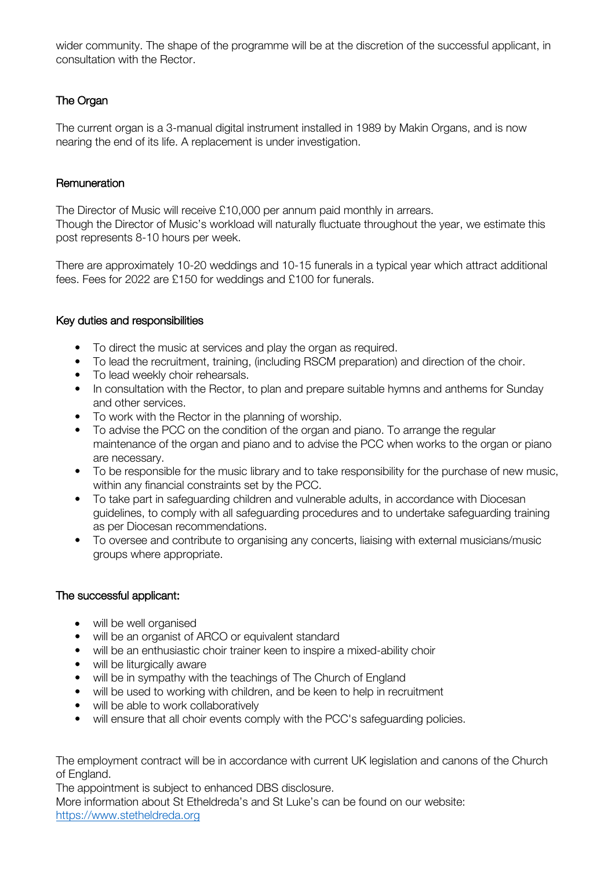wider community. The shape of the programme will be at the discretion of the successful applicant, in consultation with the Rector.

# The Organ

The current organ is a 3-manual digital instrument installed in 1989 by Makin Organs, and is now nearing the end of its life. A replacement is under investigation.

## **Remuneration**

The Director of Music will receive £10,000 per annum paid monthly in arrears. Though the Director of Music's workload will naturally fluctuate throughout the year, we estimate this post represents 8-10 hours per week.

There are approximately 10-20 weddings and 10-15 funerals in a typical year which attract additional fees. Fees for 2022 are £150 for weddings and £100 for funerals.

# Key duties and responsibilities

- To direct the music at services and play the organ as required.
- To lead the recruitment, training, (including RSCM preparation) and direction of the choir.
- To lead weekly choir rehearsals.
- In consultation with the Rector, to plan and prepare suitable hymns and anthems for Sunday and other services.
- To work with the Rector in the planning of worship.
- To advise the PCC on the condition of the organ and piano. To arrange the regular maintenance of the organ and piano and to advise the PCC when works to the organ or piano are necessary.
- To be responsible for the music library and to take responsibility for the purchase of new music, within any financial constraints set by the PCC.
- To take part in safeguarding children and vulnerable adults, in accordance with Diocesan guidelines, to comply with all safeguarding procedures and to undertake safeguarding training as per Diocesan recommendations.
- To oversee and contribute to organising any concerts, liaising with external musicians/music groups where appropriate.

### The successful applicant:

- will be well organised
- will be an organist of ARCO or equivalent standard
- will be an enthusiastic choir trainer keen to inspire a mixed-ability choir
- will be liturgically aware
- will be in sympathy with the teachings of The Church of England
- will be used to working with children, and be keen to help in recruitment
- will be able to work collaboratively
- will ensure that all choir events comply with the PCC's safeguarding policies.

The employment contract will be in accordance with current UK legislation and canons of the Church of England.

The appointment is subject to enhanced DBS disclosure.

More information about St Etheldreda's and St Luke's can be found on our website: https://www.stetheldreda.org